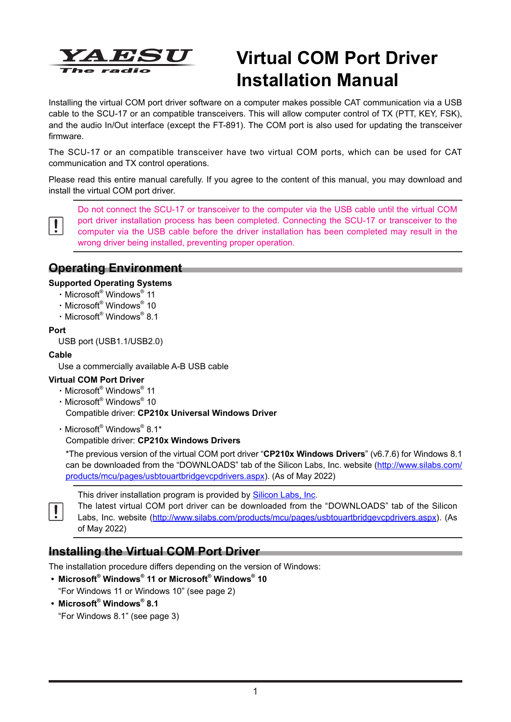

# **Virtual COM Port Driver Installation Manual**

Installing the virtual COM port driver software on a computer makes possible CAT communication via a USB cable to the SCU-17 or an compatible transceivers. This will allow computer control of TX (PTT, KEY, FSK), and the audio In/Out interface (except the FT-891). The COM port is also used for updating the transceiver firmware.

The SCU-17 or an compatible transceiver have two virtual COM ports, which can be used for CAT communication and TX control operations.

Please read this entire manual carefully. If you agree to the content of this manual, you may download and install the virtual COM port driver.



Do not connect the SCU-17 or transceiver to the computer via the USB cable until the virtual COM port driver installation process has been completed. Connecting the SCU-17 or transceiver to the computer via the USB cable before the driver installation has been completed may result in the wrong driver being installed, preventing proper operation.

### **Operating Environment**

### **Supported Operating Systems**

- ・Microsoft® Windows® 11
- ・Microsoft® Windows® 10
- ・Microsoft® Windows® 8.1

#### **Port**

USB port (USB1.1/USB2.0)

#### **Cable**

Use a commercially available A-B USB cable

#### **Virtual COM Port Driver**

- ・Microsoft® Windows® 11
- ・Microsoft® Windows® 10

Compatible driver: **CP210x Universal Windows Driver**

・Microsoft® Windows® 8.1\*

Compatible driver: **CP210x Windows Drivers**

\*The previous version of the virtual COM port driver "**CP210x Windows Drivers**" (v6.7.6) for Windows 8.1 can be downloaded from the "DOWNLOADS" tab of the Silicon Labs, Inc. website (http://www.silabs.com/ products/mcu/pages/usbtouartbridgevcpdrivers.aspx). (As of May 2022)



This driver installation program is provided by **Silicon Labs**, Inc.

The latest virtual COM port driver can be downloaded from the "DOWNLOADS" tab of the Silicon Labs, Inc. website (http://www.silabs.com/products/mcu/pages/usbtouartbridgevcpdrivers.aspx). (As of May 2022)

### **Installing the Virtual COM Port Driver**

The installation procedure differs depending on the version of Windows:

- **• Microsoft® Windows® 11 or Microsoft® Windows® 10**
	- "For Windows 11 or Windows 10" (see page 2)
- **• Microsoft® Windows® 8.1** "For Windows 8.1" (see page 3)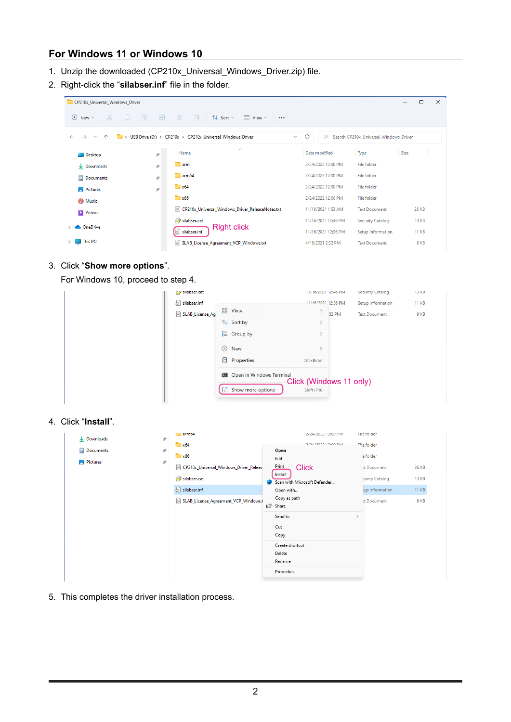# **For Windows 11 or Windows 10**

- 1. Unzip the downloaded (CP210x\_Universal\_Windows\_Driver.zip) file.
- 2. Right-click the "**silabser.inf**" file in the folder.

| CP210x_Universal_Windows_Driver              |                |                                                                                   |                   |                     |                                        |      | □            | $\times$ |
|----------------------------------------------|----------------|-----------------------------------------------------------------------------------|-------------------|---------------------|----------------------------------------|------|--------------|----------|
| 品 口<br>$\left( +\right)$<br>New $\sim$       | $\Box$<br>- GD | $\sqrt{m}$<br>一色<br>$\mathbb{N}$ Sort $\mathbb{V}$ $\equiv$ View $\mathbb{V}$<br> |                   |                     |                                        |      |              |          |
| $\rightarrow$<br>∧<br>$\sim$<br>$\leftarrow$ |                | > USB Drive (D:) > CP210x > CP210x_Universal_Windows_Driver                       | C<br>$\checkmark$ | Q                   | Search CP210x_Universal_Windows_Driver |      |              |          |
| <b>E</b> Desktop                             | ∦              | ⊼<br>Name                                                                         |                   | Date modified       | Type                                   | Size |              |          |
| $\downarrow$ Downloads                       | $\mathcal{R}$  | <b>The arm</b>                                                                    |                   | 2/24/2022 12:00 PM  | File folder                            |      |              |          |
| Documents                                    | ∦              | am <sub>64</sub>                                                                  |                   | 2/24/2022 12:00 PM  | <b>File folder</b>                     |      |              |          |
| <b>Pictures</b>                              | ₩              | $\approx 64$                                                                      |                   | 2/24/2022 12:00 PM  | File folder                            |      |              |          |
| <b>D</b> Music                               |                | $\mathbf{x}$ 86                                                                   |                   | 2/24/2022 12:00 PM  | File folder                            |      |              |          |
| <b>Exit Videos</b>                           |                | Ħ<br>CP210x_Universal_Windows_Driver_ReleaseNotes.txt                             |                   | 11/18/2021 1:53 AM  | <b>Text Document</b>                   |      | 26 KB        |          |
| <b>ConeDrive</b>                             |                | silabser.cat                                                                      |                   | 11/16/2021 12:46 PM | <b>Security Catalog</b>                |      | <b>13 KB</b> |          |
|                                              |                | <b>Right click</b><br>屬<br>silabser.inf                                           |                   | 11/16/2021 12:36 PM | Setup Information                      |      | <b>11 KB</b> |          |
| $\blacksquare$ This PC                       |                | E<br>SLAB License Agreement VCP Windows.txt                                       |                   | 4/16/2021 2:32 PM   | <b>Text Document</b>                   |      | 9 KB         |          |

#### 3. Click "**Show more options**".

For Windows 10, proceed to step 4.

| SlidDser.cdt    |                                              | T1/ T0/ ZUZ F TZ:40 PTVL |                         | becurity Catalog     | <b>ID ND</b> |
|-----------------|----------------------------------------------|--------------------------|-------------------------|----------------------|--------------|
| silabser.inf    |                                              | 11/16/2021 12:36 PM      |                         | Setup Information    | <b>11 KB</b> |
| SLAB_License_Ag | 88 View                                      |                          | 32 PM                   | <b>Text Document</b> | 9 KB         |
|                 | ↑↓ Sort by                                   |                          |                         |                      |              |
|                 | $\equiv$ Group by                            |                          |                         |                      |              |
| $\bigoplus$     | New                                          |                          |                         |                      |              |
| $\frac{1}{10}$  | Properties                                   | Alt+Enter                |                         |                      |              |
| 63              | Den in Windows Terminal<br>Show more options | $Shift + F10$            | Click (Windows 11 only) |                      |              |

#### 4. Click "**Install**".

| $\downarrow$ Downloads | ∦                   | armo4                                       |                            | Z/Z4/ZUZZ TZIUU PIVI         | rile rolder        |              |
|------------------------|---------------------|---------------------------------------------|----------------------------|------------------------------|--------------------|--------------|
|                        |                     | x64                                         |                            | <b>3/3/2003 13:00 BM</b>     | <b>Elle</b> folder |              |
| Documents              | ∦                   | x86                                         | Open<br>Edit               |                              | e folder           |              |
| <b>Pictures</b>        | $\hat{\mathcal{R}}$ | e<br>CP210x_Universal_Windows_Driver_Releas | Print                      | <b>Click</b>                 | <b>tt Document</b> | <b>26 KB</b> |
|                        |                     | silabser.cat                                | Install                    | Scan with Microsoft Defender | curity Catalog     | <b>13 KB</b> |
|                        |                     | silabser.inf                                | Open with                  |                              | tup Information    | <b>11 KB</b> |
|                        |                     | SLAB_License_Agreement_VCP_Windows.t<br>Ħ   | Copy as path<br>岭<br>Share |                              | <b>tt Document</b> | 9 KB         |
|                        |                     |                                             | Send to                    |                              |                    |              |
|                        |                     |                                             | Cut                        |                              |                    |              |
|                        |                     |                                             | Copy                       |                              |                    |              |
|                        |                     |                                             | Create shortcut<br>Delete  |                              |                    |              |
|                        |                     |                                             | Rename                     |                              |                    |              |
|                        |                     |                                             | Properties                 |                              |                    |              |
|                        |                     |                                             |                            |                              |                    |              |

5. This completes the driver installation process.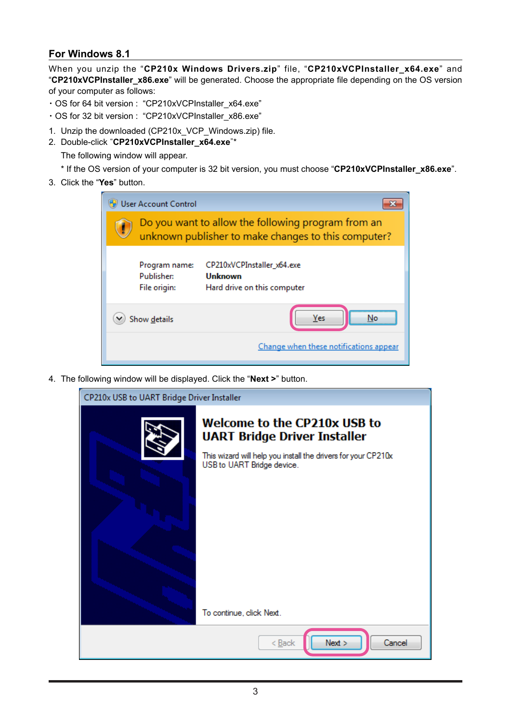### **For Windows 8.1**

When you unzip the "**CP210x Windows Drivers.zip**" file, "**CP210xVCPInstaller\_x64.exe**" and "**CP210xVCPInstaller\_x86.exe**" will be generated. Choose the appropriate file depending on the OS version of your computer as follows:

- ・OS for 64 bit version : "CP210xVCPInstaller\_x64.exe"
- ・OS for 32 bit version : "CP210xVCPInstaller\_x86.exe"
- 1. Unzip the downloaded (CP210x\_VCP\_Windows.zip) file.
- 2. Double-click "**CP210xVCPInstaller\_x64.exe**"\*

The following window will appear.

- \* If the OS version of your computer is 32 bit version, you must choose "**CP210xVCPInstaller\_x86.exe**".
- 3. Click the "**Yes**" button.

|   | <b>User Account Control</b>                                                                               |                                                                      |  |  |  |
|---|-----------------------------------------------------------------------------------------------------------|----------------------------------------------------------------------|--|--|--|
| ÷ | Do you want to allow the following program from an<br>unknown publisher to make changes to this computer? |                                                                      |  |  |  |
|   | Program name:<br>Publisher:<br>File origin:                                                               | CP210xVCPInstaller_x64.exe<br>Unknown<br>Hard drive on this computer |  |  |  |
|   | Show details                                                                                              | Yes                                                                  |  |  |  |
|   |                                                                                                           | Change when these notifications appear                               |  |  |  |

4. The following window will be displayed. Click the "**Next >**" button.

| CP210x USB to UART Bridge Driver Installer |                                                                                             |  |  |  |
|--------------------------------------------|---------------------------------------------------------------------------------------------|--|--|--|
|                                            | <b>Welcome to the CP210x USB to</b><br><b>UART Bridge Driver Installer</b>                  |  |  |  |
|                                            | This wizard will help you install the drivers for your CP210x<br>USB to UART Bridge device. |  |  |  |
|                                            |                                                                                             |  |  |  |
|                                            | To continue, click Next.                                                                    |  |  |  |
|                                            | Next<br>Cancel<br>$<$ Back                                                                  |  |  |  |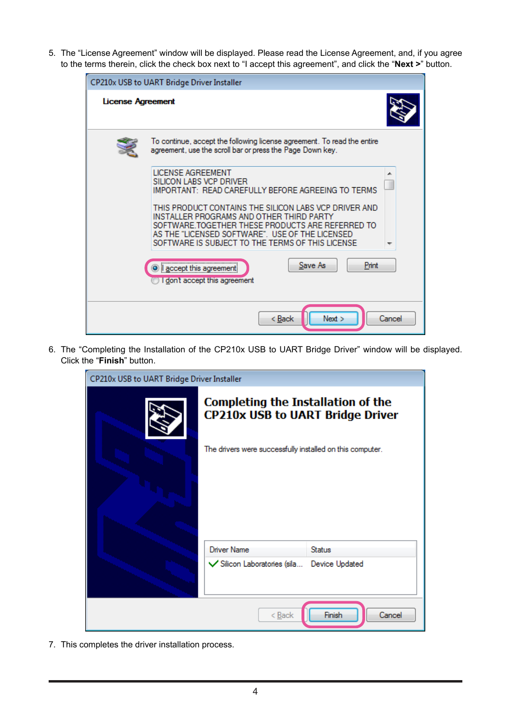5. The "License Agreement" window will be displayed. Please read the License Agreement, and, if you agree to the terms therein, click the check box next to "I accept this agreement", and click the "**Next >**" button.

| CP210x USB to UART Bridge Driver Installer |                                                                                                                                                                                                                                                              |        |  |  |  |
|--------------------------------------------|--------------------------------------------------------------------------------------------------------------------------------------------------------------------------------------------------------------------------------------------------------------|--------|--|--|--|
| License Agreement                          |                                                                                                                                                                                                                                                              |        |  |  |  |
|                                            | To continue, accept the following license agreement. To read the entire<br>agreement, use the scroll bar or press the Page Down key.                                                                                                                         |        |  |  |  |
|                                            | <b>LICENSE AGREEMENT</b><br>SILICON LABS VCP DRIVER<br>IMPORTANT: READ CAREFULLY BEFORE AGREEING TO TERMS                                                                                                                                                    | ┻      |  |  |  |
|                                            | THIS PRODUCT CONTAINS THE SILICON LABS VCP DRIVER AND<br>INSTALLER PROGRAMS AND OTHER THIRD PARTY<br>SOFTWARE TOGETHER THESE PRODUCTS ARE REFERRED TO<br>AS THE "LICENSED SOFTWARE". USE OF THE LICENSED<br>SOFTWARE IS SUBJECT TO THE TERMS OF THIS LICENSE |        |  |  |  |
|                                            | Save As<br>Print<br>accept this agreement<br>I don't accept this agreement                                                                                                                                                                                   |        |  |  |  |
|                                            | Next<br>$Back$                                                                                                                                                                                                                                               | Cancel |  |  |  |

6. The "Completing the Installation of the CP210x USB to UART Bridge Driver" window will be displayed. Click the "**Finish**" button.

| CP210x USB to UART Bridge Driver Installer |                                                                                      |                |  |  |
|--------------------------------------------|--------------------------------------------------------------------------------------|----------------|--|--|
|                                            | <b>Completing the Installation of the</b><br><b>CP210x USB to UART Bridge Driver</b> |                |  |  |
|                                            | The drivers were successfully installed on this computer.                            |                |  |  |
|                                            | <b>Driver Name</b>                                                                   | <b>Status</b>  |  |  |
|                                            | Silicon Laboratories (sila                                                           | Device Updated |  |  |
| Finish<br>Cancel<br>< Back                 |                                                                                      |                |  |  |

7. This completes the driver installation process.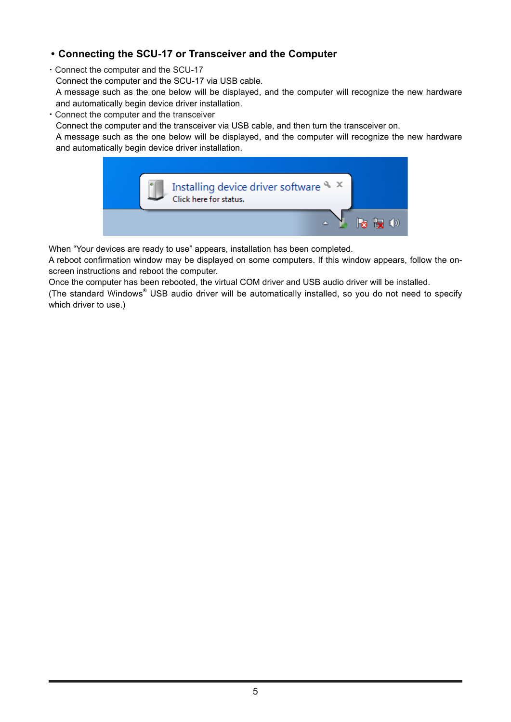### **• Connecting the SCU-17 or Transceiver and the Computer**

- ・Connect the computer and the SCU-17
- Connect the computer and the SCU-17 via USB cable.

A message such as the one below will be displayed, and the computer will recognize the new hardware and automatically begin device driver installation.

・Connect the computer and the transceiver

Connect the computer and the transceiver via USB cable, and then turn the transceiver on.

A message such as the one below will be displayed, and the computer will recognize the new hardware and automatically begin device driver installation.



When "Your devices are ready to use" appears, installation has been completed.

A reboot confirmation window may be displayed on some computers. If this window appears, follow the onscreen instructions and reboot the computer.

Once the computer has been rebooted, the virtual COM driver and USB audio driver will be installed.

(The standard Windows® USB audio driver will be automatically installed, so you do not need to specify which driver to use.)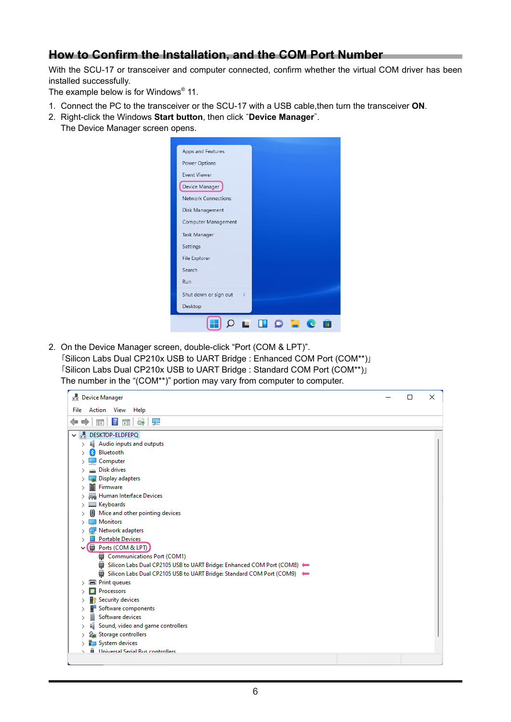## **How to Confirm the Installation, and the COM Port Number**

With the SCU-17 or transceiver and computer connected, confirm whether the virtual COM driver has been installed successfully.

The example below is for Windows $^\circ$  11.

- 1. Connect the PC to the transceiver or the SCU-17 with a USB cable,then turn the transceiver **ON**.
- 2. Right-click the Windows **Start button**, then click "**Device Manager**". The Device Manager screen opens.



2. On the Device Manager screen, double-click "Port (COM & LPT)". 「Silicon Labs Dual CP210x USB to UART Bridge : Enhanced COM Port (COM\*\*)」 「Silicon Labs Dual CP210x USB to UART Bridge : Standard COM Port (COM\*\*)」 The number in the "(COM\*\*)" portion may vary from computer to computer.

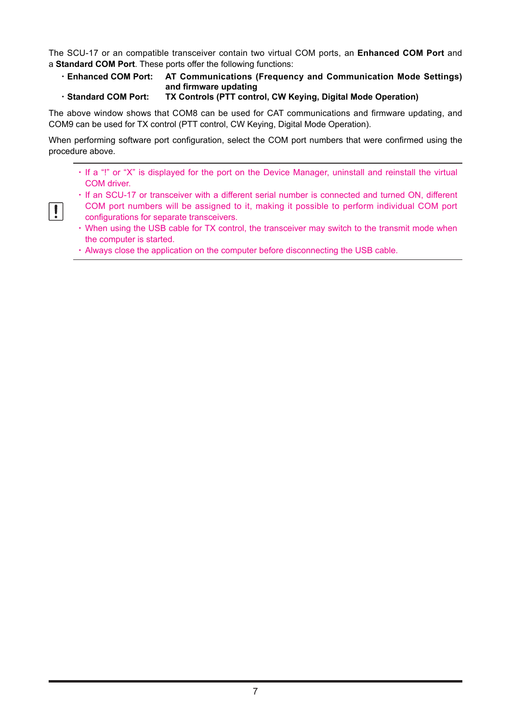The SCU-17 or an compatible transceiver contain two virtual COM ports, an **Enhanced COM Port** and a **Standard COM Port**. These ports offer the following functions:

- ・**Enhanced COM Port: AT Communications (Frequency and Communication Mode Settings) and firmware updating**
- ・**Standard COM Port: TX Controls (PTT control, CW Keying, Digital Mode Operation)**

The above window shows that COM8 can be used for CAT communications and firmware updating, and COM9 can be used for TX control (PTT control, CW Keying, Digital Mode Operation).

When performing software port configuration, select the COM port numbers that were confirmed using the procedure above.

- ・If a "!" or "X" is displayed for the port on the Device Manager, uninstall and reinstall the virtual COM driver.
- ・If an SCU-17 or transceiver with a different serial number is connected and turned ON, different
- COM port numbers will be assigned to it, making it possible to perform individual COM port configurations for separate transceivers.
- ・When using the USB cable for TX control, the transceiver may switch to the transmit mode when the computer is started.
- ・Always close the application on the computer before disconnecting the USB cable.

 $\mathbf{I}$